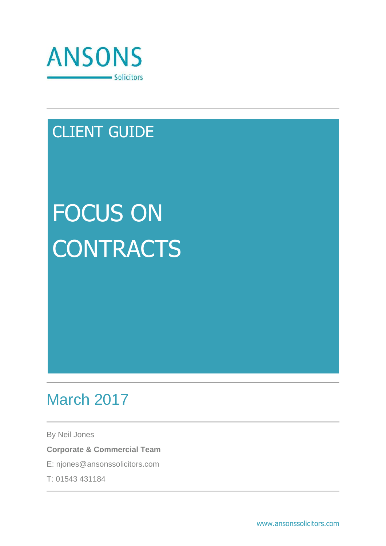

# CLIENT GUIDE

# FOCUS ON **CONTRACTS**

# March 2017

By Neil Jones

**Corporate & Commercial Team**

E: njones@ansonssolicitors.com

T: 01543 431184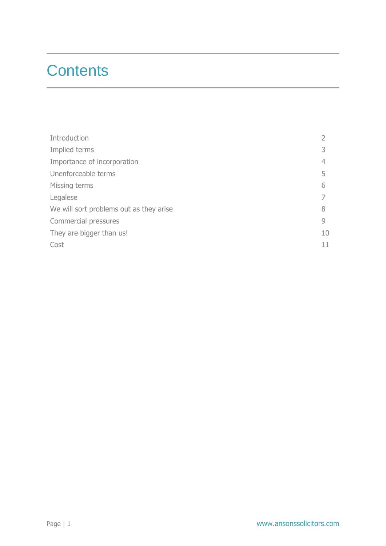## **Contents**

| Introduction                            |              |
|-----------------------------------------|--------------|
| Implied terms                           |              |
| Importance of incorporation             | 4            |
| Unenforceable terms                     | 5            |
| Missing terms                           | 6            |
| Legalese                                |              |
| We will sort problems out as they arise | 8            |
| Commercial pressures                    | $\mathsf{Q}$ |
| They are bigger than us!                | 10           |
| Cost                                    | 11           |
|                                         |              |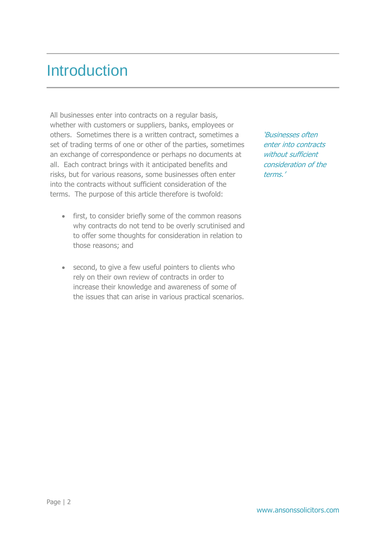#### **Introduction**

All businesses enter into contracts on a regular basis, whether with customers or suppliers, banks, employees or others. Sometimes there is a written contract, sometimes a set of trading terms of one or other of the parties, sometimes an exchange of correspondence or perhaps no documents at all. Each contract brings with it anticipated benefits and risks, but for various reasons, some businesses often enter into the contracts without sufficient consideration of the terms. The purpose of this article therefore is twofold:

- first, to consider briefly some of the common reasons why contracts do not tend to be overly scrutinised and to offer some thoughts for consideration in relation to those reasons; and
- second, to give a few useful pointers to clients who rely on their own review of contracts in order to increase their knowledge and awareness of some of the issues that can arise in various practical scenarios.

'Businesses often enter into contracts without sufficient consideration of the terms.'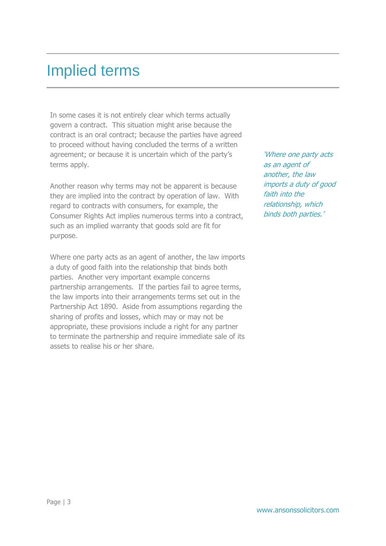#### Implied terms

In some cases it is not entirely clear which terms actually govern a contract. This situation might arise because the contract is an oral contract; because the parties have agreed to proceed without having concluded the terms of a written agreement; or because it is uncertain which of the party's terms apply.

Another reason why terms may not be apparent is because they are implied into the contract by operation of law. With regard to contracts with consumers, for example, the Consumer Rights Act implies numerous terms into a contract, such as an implied warranty that goods sold are fit for purpose.

Where one party acts as an agent of another, the law imports a duty of good faith into the relationship that binds both parties. Another very important example concerns partnership arrangements. If the parties fail to agree terms, the law imports into their arrangements terms set out in the Partnership Act 1890. Aside from assumptions regarding the sharing of profits and losses, which may or may not be appropriate, these provisions include a right for any partner to terminate the partnership and require immediate sale of its assets to realise his or her share.

'Where one party acts as an agent of another, the law imports a duty of good faith into the relationship, which binds both parties.'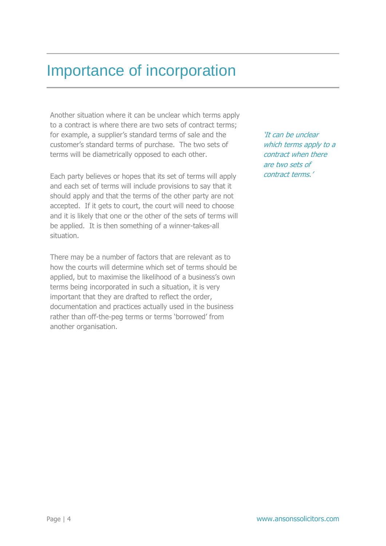## Importance of incorporation

Another situation where it can be unclear which terms apply to a contract is where there are two sets of contract terms; for example, a supplier's standard terms of sale and the customer's standard terms of purchase. The two sets of terms will be diametrically opposed to each other.

Each party believes or hopes that its set of terms will apply and each set of terms will include provisions to say that it should apply and that the terms of the other party are not accepted. If it gets to court, the court will need to choose and it is likely that one or the other of the sets of terms will be applied. It is then something of a winner-takes-all situation.

There may be a number of factors that are relevant as to how the courts will determine which set of terms should be applied, but to maximise the likelihood of a business's own terms being incorporated in such a situation, it is very important that they are drafted to reflect the order, documentation and practices actually used in the business rather than off-the-peg terms or terms 'borrowed' from another organisation.

'It can be unclear which terms apply to a contract when there are two sets of contract terms.'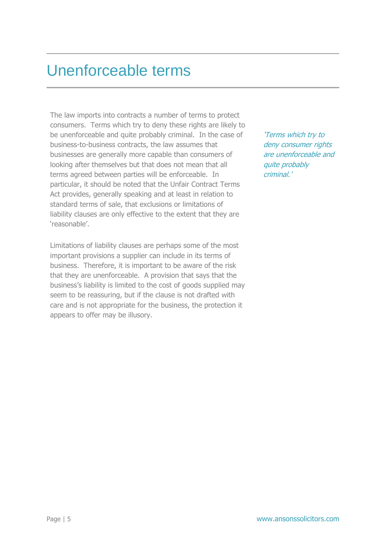#### Unenforceable terms

The law imports into contracts a number of terms to protect consumers. Terms which try to deny these rights are likely to be unenforceable and quite probably criminal. In the case of business-to-business contracts, the law assumes that businesses are generally more capable than consumers of looking after themselves but that does not mean that all terms agreed between parties will be enforceable. In particular, it should be noted that the Unfair Contract Terms Act provides, generally speaking and at least in relation to standard terms of sale, that exclusions or limitations of liability clauses are only effective to the extent that they are 'reasonable'.

Limitations of liability clauses are perhaps some of the most important provisions a supplier can include in its terms of business. Therefore, it is important to be aware of the risk that they are unenforceable. A provision that says that the business's liability is limited to the cost of goods supplied may seem to be reassuring, but if the clause is not drafted with care and is not appropriate for the business, the protection it appears to offer may be illusory.

'Terms which try to deny consumer rights are unenforceable and quite probably criminal.'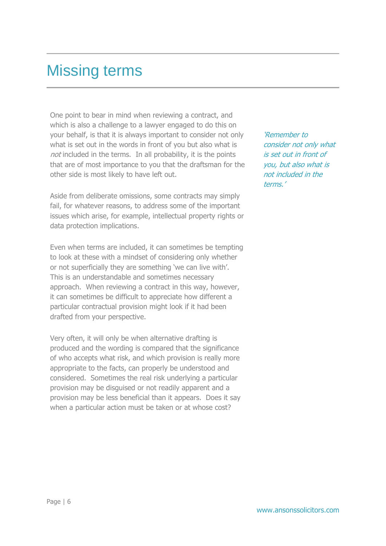#### Missing terms

One point to bear in mind when reviewing a contract, and which is also a challenge to a lawyer engaged to do this on your behalf, is that it is always important to consider not only what is set out in the words in front of you but also what is not included in the terms. In all probability, it is the points that are of most importance to you that the draftsman for the other side is most likely to have left out.

Aside from deliberate omissions, some contracts may simply fail, for whatever reasons, to address some of the important issues which arise, for example, intellectual property rights or data protection implications.

Even when terms are included, it can sometimes be tempting to look at these with a mindset of considering only whether or not superficially they are something 'we can live with'. This is an understandable and sometimes necessary approach. When reviewing a contract in this way, however, it can sometimes be difficult to appreciate how different a particular contractual provision might look if it had been drafted from your perspective.

Very often, it will only be when alternative drafting is produced and the wording is compared that the significance of who accepts what risk, and which provision is really more appropriate to the facts, can properly be understood and considered. Sometimes the real risk underlying a particular provision may be disguised or not readily apparent and a provision may be less beneficial than it appears. Does it say when a particular action must be taken or at whose cost?

'Remember to consider not only what is set out in front of you, but also what is not included in the terms.'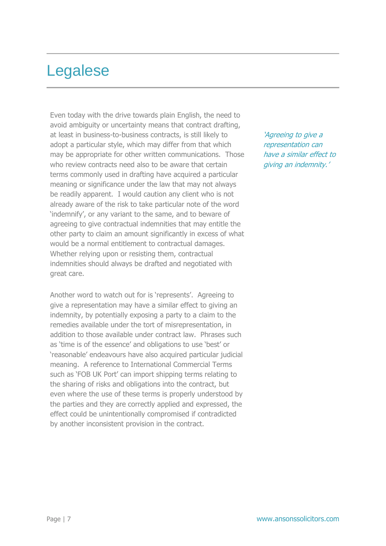## Legalese

Even today with the drive towards plain English, the need to avoid ambiguity or uncertainty means that contract drafting, at least in business-to-business contracts, is still likely to adopt a particular style, which may differ from that which may be appropriate for other written communications. Those who review contracts need also to be aware that certain terms commonly used in drafting have acquired a particular meaning or significance under the law that may not always be readily apparent. I would caution any client who is not already aware of the risk to take particular note of the word 'indemnify', or any variant to the same, and to beware of agreeing to give contractual indemnities that may entitle the other party to claim an amount significantly in excess of what would be a normal entitlement to contractual damages. Whether relying upon or resisting them, contractual indemnities should always be drafted and negotiated with great care.

Another word to watch out for is 'represents'. Agreeing to give a representation may have a similar effect to giving an indemnity, by potentially exposing a party to a claim to the remedies available under the tort of misrepresentation, in addition to those available under contract law. Phrases such as 'time is of the essence' and obligations to use 'best' or 'reasonable' endeavours have also acquired particular judicial meaning. A reference to International Commercial Terms such as 'FOB UK Port' can import shipping terms relating to the sharing of risks and obligations into the contract, but even where the use of these terms is properly understood by the parties and they are correctly applied and expressed, the effect could be unintentionally compromised if contradicted by another inconsistent provision in the contract.

'Agreeing to give a representation can have a similar effect to giving an indemnity.'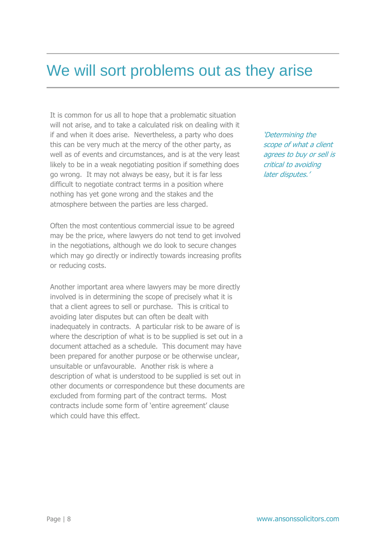#### We will sort problems out as they arise

It is common for us all to hope that a problematic situation will not arise, and to take a calculated risk on dealing with it if and when it does arise. Nevertheless, a party who does this can be very much at the mercy of the other party, as well as of events and circumstances, and is at the very least likely to be in a weak negotiating position if something does go wrong. It may not always be easy, but it is far less difficult to negotiate contract terms in a position where nothing has yet gone wrong and the stakes and the atmosphere between the parties are less charged.

Often the most contentious commercial issue to be agreed may be the price, where lawyers do not tend to get involved in the negotiations, although we do look to secure changes which may go directly or indirectly towards increasing profits or reducing costs.

Another important area where lawyers may be more directly involved is in determining the scope of precisely what it is that a client agrees to sell or purchase. This is critical to avoiding later disputes but can often be dealt with inadequately in contracts. A particular risk to be aware of is where the description of what is to be supplied is set out in a document attached as a schedule. This document may have been prepared for another purpose or be otherwise unclear, unsuitable or unfavourable. Another risk is where a description of what is understood to be supplied is set out in other documents or correspondence but these documents are excluded from forming part of the contract terms. Most contracts include some form of 'entire agreement' clause which could have this effect.

'Determining the scope of what a client agrees to buy or sell is critical to avoiding later disputes.'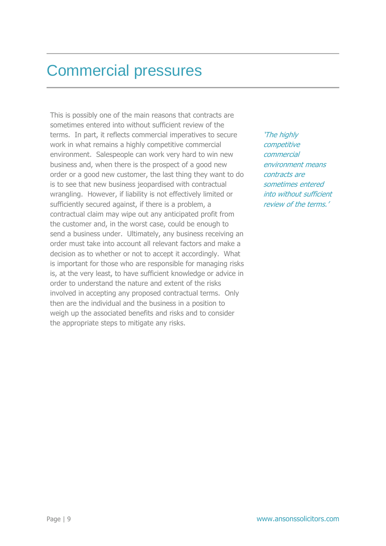#### Commercial pressures

This is possibly one of the main reasons that contracts are sometimes entered into without sufficient review of the terms. In part, it reflects commercial imperatives to secure work in what remains a highly competitive commercial environment. Salespeople can work very hard to win new business and, when there is the prospect of a good new order or a good new customer, the last thing they want to do is to see that new business jeopardised with contractual wrangling. However, if liability is not effectively limited or sufficiently secured against, if there is a problem, a contractual claim may wipe out any anticipated profit from the customer and, in the worst case, could be enough to send a business under. Ultimately, any business receiving an order must take into account all relevant factors and make a decision as to whether or not to accept it accordingly. What is important for those who are responsible for managing risks is, at the very least, to have sufficient knowledge or advice in order to understand the nature and extent of the risks involved in accepting any proposed contractual terms. Only then are the individual and the business in a position to weigh up the associated benefits and risks and to consider the appropriate steps to mitigate any risks.

'The highly competitive commercial environment means contracts are sometimes entered into without sufficient review of the terms.'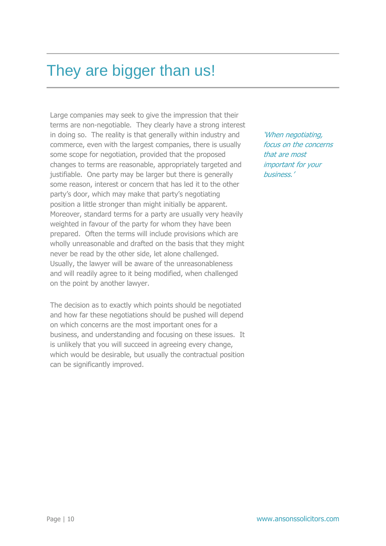## They are bigger than us!

Large companies may seek to give the impression that their terms are non-negotiable. They clearly have a strong interest in doing so. The reality is that generally within industry and commerce, even with the largest companies, there is usually some scope for negotiation, provided that the proposed changes to terms are reasonable, appropriately targeted and justifiable. One party may be larger but there is generally some reason, interest or concern that has led it to the other party's door, which may make that party's negotiating position a little stronger than might initially be apparent. Moreover, standard terms for a party are usually very heavily weighted in favour of the party for whom they have been prepared. Often the terms will include provisions which are wholly unreasonable and drafted on the basis that they might never be read by the other side, let alone challenged. Usually, the lawyer will be aware of the unreasonableness and will readily agree to it being modified, when challenged on the point by another lawyer.

The decision as to exactly which points should be negotiated and how far these negotiations should be pushed will depend on which concerns are the most important ones for a business, and understanding and focusing on these issues. It is unlikely that you will succeed in agreeing every change, which would be desirable, but usually the contractual position can be significantly improved.

'When negotiating, focus on the concerns that are most important for your business.'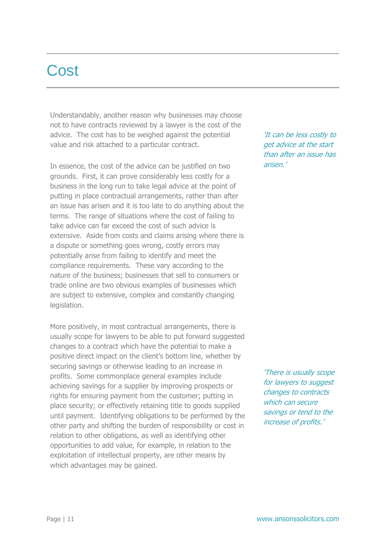#### **Cost**

Understandably, another reason why businesses may choose not to have contracts reviewed by a lawyer is the cost of the advice. The cost has to be weighed against the potential value and risk attached to a particular contract.

In essence, the cost of the advice can be justified on two grounds. First, it can prove considerably less costly for a business in the long run to take legal advice at the point of putting in place contractual arrangements, rather than after an issue has arisen and it is too late to do anything about the terms. The range of situations where the cost of failing to take advice can far exceed the cost of such advice is extensive. Aside from costs and claims arising where there is a dispute or something goes wrong, costly errors may potentially arise from failing to identify and meet the compliance requirements. These vary according to the nature of the business; businesses that sell to consumers or trade online are two obvious examples of businesses which are subject to extensive, complex and constantly changing legislation.

More positively, in most contractual arrangements, there is usually scope for lawyers to be able to put forward suggested changes to a contract which have the potential to make a positive direct impact on the client's bottom line, whether by securing savings or otherwise leading to an increase in profits. Some commonplace general examples include achieving savings for a supplier by improving prospects or rights for ensuring payment from the customer; putting in place security; or effectively retaining title to goods supplied until payment. Identifying obligations to be performed by the other party and shifting the burden of responsibility or cost in relation to other obligations, as well as identifying other opportunities to add value, for example, in relation to the exploitation of intellectual property, are other means by which advantages may be gained.

'It can be less costly to get advice at the start than after an issue has arisen.'

'There is usually scope for lawyers to suggest changes to contracts which can secure savings or tend to the increase of profits.'